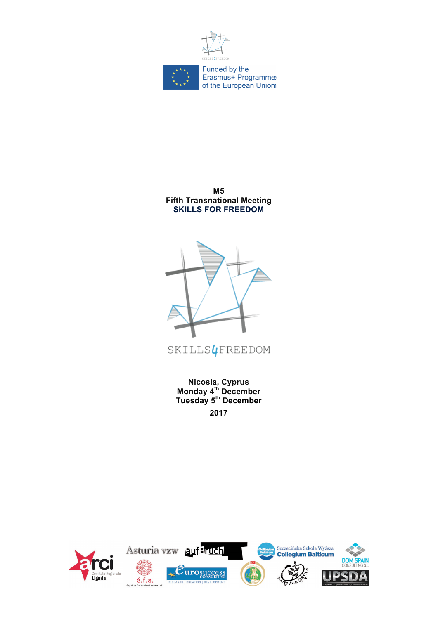

**M5 Fifth Transnational Meeting SKILLS FOR FREEDOM**



SKILLS & FREEDOM

**Nicosia, Cyprus Monday 4th December Tuesday 5th December 2017**

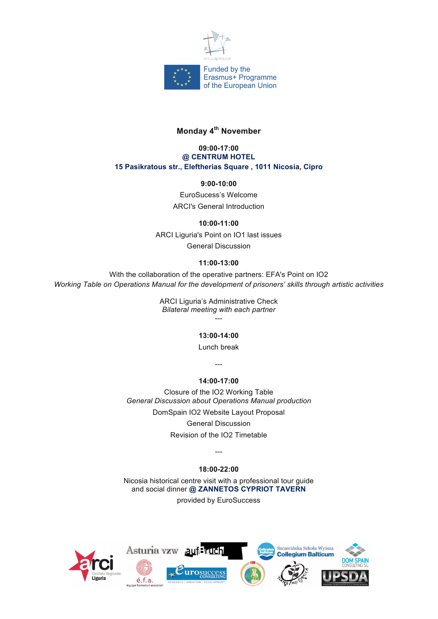

# **Monday 4th November**

#### **09:00-17:00 @ CENTRUM HOTEL 15 Pasikratous str., Eleftherias Square , 1011 Nicosia, Cipro**

## **9:00-10:00**

EuroSucess's Welcome ARCI's General Introduction

## **10:00-11:00**

ARCI Liguria's Point on IO1 last issues General Discussion

## **11:00-13:00**

With the collaboration of the operative partners: EFA's Point on IO2 *Working Table on Operations Manual for the development of prisoners' skills through artistic activities*

> ARCI Liguria's Administrative Check *Bilateral meeting with each partner* ---

# **13:00-14:00**

Lunch break

---

#### **14:00-17:00**

Closure of the IO2 Working Table *General Discussion about Operations Manual production* DomSpain IO2 Website Layout Proposal General Discussion Revision of the IO2 Timetable

# **18:00-22:00**

---

Nicosia historical centre visit with a professional tour guide and social dinner **@ ZANNETOS CYPRIOT TAVERN**

provided by EuroSuccess

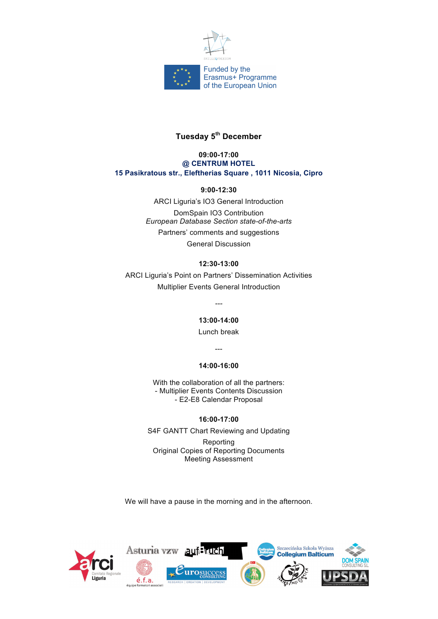

# **Tuesday 5th December**

#### **09:00-17:00 @ CENTRUM HOTEL 15 Pasikratous str., Eleftherias Square , 1011 Nicosia, Cipro**

**9:00-12:30**

ARCI Liguria's IO3 General Introduction DomSpain IO3 Contribution *European Database Section state-of-the-arts* Partners' comments and suggestions General Discussion

# **12:30-13:00**

ARCI Liguria's Point on Partners' Dissemination Activities Multiplier Events General Introduction

*---*

**13:00-14:00**

Lunch break

---

#### **14:00-16:00**

With the collaboration of all the partners: - Multiplier Events Contents Discussion - E2-E8 Calendar Proposal

# **16:00-17:00**

S4F GANTT Chart Reviewing and Updating

Reporting Original Copies of Reporting Documents Meeting Assessment

We will have a pause in the morning and in the afternoon.

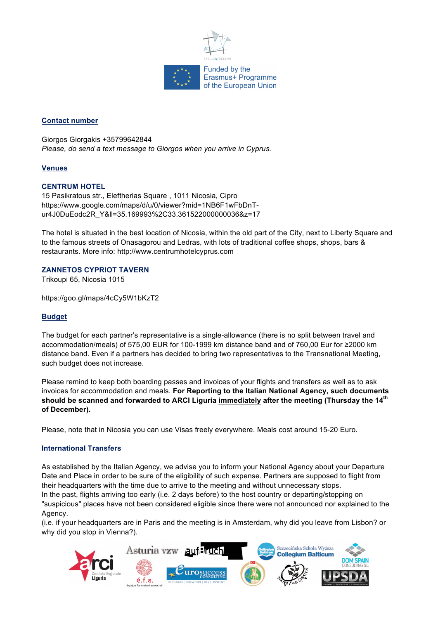

## **Contact number**

Giorgos Giorgakis +35799642844 *Please, do send a text message to Giorgos when you arrive in Cyprus.*

#### **Venues**

#### **CENTRUM HOTEL**

15 Pasikratous str., Eleftherias Square , 1011 Nicosia, Cipro https://www.google.com/maps/d/u/0/viewer?mid=1NB6F1wFbDnTur4J0DuEodc2R\_Y&ll=35.169993%2C33.361522000000036&z=17

The hotel is situated in the best location of Nicosia, within the old part of the City, next to Liberty Square and to the famous streets of Onasagorou and Ledras, with lots of traditional coffee shops, shops, bars & restaurants. More info: http://www.centrumhotelcyprus.com

#### **ZANNETOS CYPRIOT TAVERN**

Trikoupi 65, Nicosia 1015

https://goo.gl/maps/4cCy5W1bKzT2

#### **Budget**

The budget for each partner's representative is a single-allowance (there is no split between travel and accommodation/meals) of 575,00 EUR for 100-1999 km distance band and of 760,00 Eur for ≥2000 km distance band. Even if a partners has decided to bring two representatives to the Transnational Meeting, such budget does not increase.

Please remind to keep both boarding passes and invoices of your flights and transfers as well as to ask invoices for accommodation and meals. **For Reporting to the Italian National Agency, such documents should be scanned and forwarded to ARCI Liguria immediately after the meeting (Thursday the 14th of December).**

Please, note that in Nicosia you can use Visas freely everywhere. Meals cost around 15-20 Euro.

#### **International Transfers**

As established by the Italian Agency, we advise you to inform your National Agency about your Departure Date and Place in order to be sure of the eligibility of such expense. Partners are supposed to flight from their headquarters with the time due to arrive to the meeting and without unnecessary stops.

In the past, flights arriving too early (i.e. 2 days before) to the host country or departing/stopping on "suspicious" places have not been considered eligible since there were not announced nor explained to the Agency.

(i.e. if your headquarters are in Paris and the meeting is in Amsterdam, why did you leave from Lisbon? or why did you stop in Vienna?).